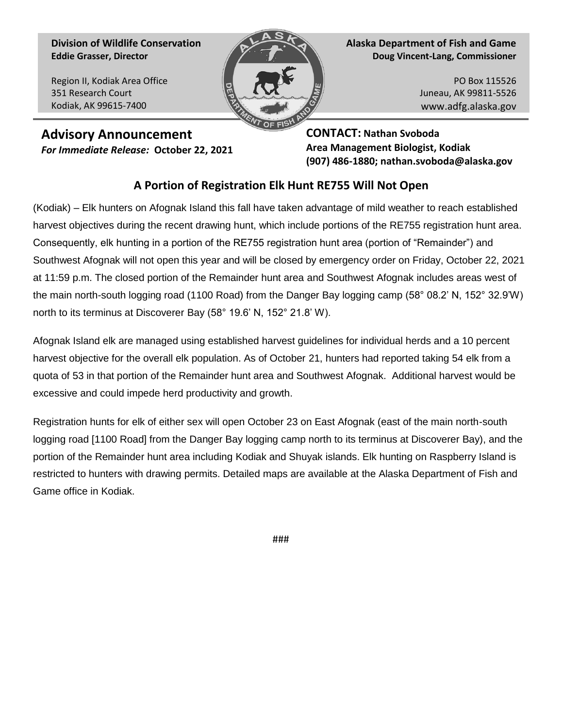**Division of Wildlife Conservation Eddie Grasser, Director**

Region II, Kodiak Area Office 351 Research Court Kodiak, AK 99615-7400



**Alaska Department of Fish and Game Doug Vincent-Lang, Commissioner**

> PO Box 115526 Juneau, AK 99811-5526 www.adfg.alaska.gov

**Advisory Announcement** *For Immediate Release:* **October 22, 2021** **CONTACT: Nathan Svoboda Area Management Biologist, Kodiak (907) 486-1880; nathan.svoboda@alaska.gov** 

## **A Portion of Registration Elk Hunt RE755 Will Not Open**

(Kodiak) – Elk hunters on Afognak Island this fall have taken advantage of mild weather to reach established harvest objectives during the recent drawing hunt, which include portions of the RE755 registration hunt area. Consequently, elk hunting in a portion of the RE755 registration hunt area (portion of "Remainder") and Southwest Afognak will not open this year and will be closed by emergency order on Friday, October 22, 2021 at 11:59 p.m. The closed portion of the Remainder hunt area and Southwest Afognak includes areas west of the main north-south logging road (1100 Road) from the Danger Bay logging camp (58° 08.2' N, 152° 32.9'W) north to its terminus at Discoverer Bay (58° 19.6' N, 152° 21.8' W).

Afognak Island elk are managed using established harvest guidelines for individual herds and a 10 percent harvest objective for the overall elk population. As of October 21, hunters had reported taking 54 elk from a quota of 53 in that portion of the Remainder hunt area and Southwest Afognak. Additional harvest would be excessive and could impede herd productivity and growth.

Registration hunts for elk of either sex will open October 23 on East Afognak (east of the main north-south logging road [1100 Road] from the Danger Bay logging camp north to its terminus at Discoverer Bay), and the portion of the Remainder hunt area including Kodiak and Shuyak islands. Elk hunting on Raspberry Island is restricted to hunters with drawing permits. Detailed maps are available at the Alaska Department of Fish and Game office in Kodiak.

###